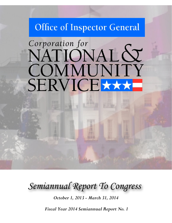# Office of Inspector General

# Corporation for NATIONAL & COMMUNITY SERVICE

*Semiannual Report To Congress*

*October 1, 2013 - March 31, 2014*

*Fiscal Year 2014 Semiannual Report No. 1*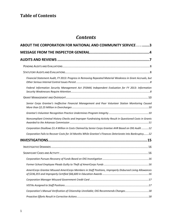# **Table of Contents**

# *Contents*

| ABOUT THE CORPORATION FOR NATIONAL AND COMMUNITY SERVICE 3                                                  |  |
|-------------------------------------------------------------------------------------------------------------|--|
|                                                                                                             |  |
|                                                                                                             |  |
|                                                                                                             |  |
|                                                                                                             |  |
| Financial Statement Audit, FY 2013: Progress in Removing Repeated Material Weakness in Grant Accruals, but  |  |
| Federal Information Security Management Act (FISMA) Independent Evaluation for FY 2013: Information         |  |
|                                                                                                             |  |
| Senior Corps Grantee's Ineffective Financial Management and Poor Volunteer Station Monitoring Caused        |  |
|                                                                                                             |  |
| Noncompliant Criminal History Checks and Improper Fundraising Activity Result in Questioned Costs in Grants |  |
| Corporation Disallows \$1.4 Million in Costs Claimed by Senior Corps Grantee AHR Based on OIG Audit 12      |  |
| Corporation Fails to Recover Costs for 14 Months While Grantee's Finances Deteriorate into Bankruptcy12     |  |
|                                                                                                             |  |
|                                                                                                             |  |
|                                                                                                             |  |
|                                                                                                             |  |
|                                                                                                             |  |
| AmeriCorps Grantee Misused AmeriCorps Members in Staff Positions, Improperly Disbursed Living Allowances    |  |
|                                                                                                             |  |
|                                                                                                             |  |
| Corporation's Manual Verification of Citizenship Unreliable; OIG Recommends Changes 18                      |  |
|                                                                                                             |  |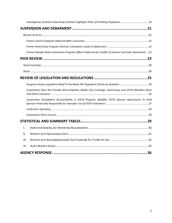| Former Nevada State Commission Program Officer Debarred for Conflict of Interest and False Statements22 |  |
|---------------------------------------------------------------------------------------------------------|--|
|                                                                                                         |  |
|                                                                                                         |  |
|                                                                                                         |  |
|                                                                                                         |  |
|                                                                                                         |  |
| Corporation Does Not Provide ACA-Compliant Health Care Coverage: AmeriCorps and VISTA Members Must      |  |
| Corporation Strengthens Accountability in VISTA Program, Modifies VISTA Sponsor Agreements To Hold      |  |
|                                                                                                         |  |
|                                                                                                         |  |
|                                                                                                         |  |
| $\mathbf{I}$ .                                                                                          |  |
| II.                                                                                                     |  |
| III.                                                                                                    |  |
| VI.                                                                                                     |  |
|                                                                                                         |  |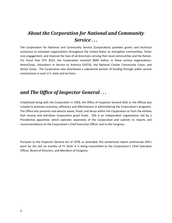# <span id="page-3-0"></span>*About the Corporation for National and Community Service . . .*

The Corporation for National and Community Service (Corporation) provides grants and technical assistance to volunteer organizations throughout the United States to strengthen communities, foster civic engagement, and improve the lives of all Americans serving their local communities and the Nation. For Fiscal Year (FY) 2013, the Corporation invested \$840 million in these service organizations: AmeriCorps, Volunteers in Service to America (VISTA), the National Civilian Community Corps, and Senior Corps. The Corporation also distributed a substantial portion of funding through public service commissions in each U.S. state and territory.

## *and The Office of Inspector General . . .*

Established along with the Corporation in 1993, the Office of Inspector General (OIG or the Office) was created to promote economy, efficiency and effectiveness in administering the Corporation's programs. The Office also prevents and detects waste, fraud, and abuse within the Corporation or from the entities that receive and distribute Corporation grant funds. OIG is an independent organization, led by a Presidential appointee, which operates separately of the Corporation and submits its reports and recommendations to the Corporation's Chief Executive Officer and to the Congress.

Pursuant to the Inspector General Act of 1978, as amended, this semiannual report summarizes OIG's work for the last six months of FY 2014. It is being transmitted to the Corporation's Chief Executive Officer, Board of Directors, and Members of Congress.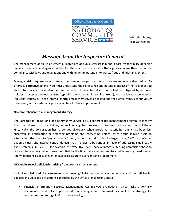

Deborah J. Jeffrey Inspector General

# *Message from the Inspector General*

<span id="page-4-0"></span>The management of risk is an essential ingredient of public stewardship and a core responsibility of senior leaders in every Federal agency. Without it, there can be no assurance that agencies pursue their missions in compliance with laws and regulations and with minimum potential for waste, fraud and mismanagement.

Managing risks requires an accurate and comprehensive picture of what they are and where they reside. To prioritize corrective actions, you must understand the significance and potential impact of the risks that you face. And once a risk is identified and assessed, it must be reliably controlled or mitigated by enforced policies, processes and mechanisms (typically referred to as "internal controls"), and not left to hope, trust or individual initiative. Those internal controls must themselves be tested and their effectiveness continuously monitored, with a systematic process in place for their improvement.

#### **No comprehensive risk management strategy**

The Corporation for National and Community Service lacks a coherent risk management program to identify the risks inherent in its activities, as well as a global process to measure, monitor and control them. Historically, the Corporation has responded vigorously when problems materialize, but it has been less successful in anticipating or detecting problems and intervening before losses occur, leaving itself no alternative other than to "pay and chase." And, rather than prioritizing its largest risks, CNCS has deferred action on risks and internal control defects that it knows to be serious, in favor of addressing small, easily fixed problems. In FY 2013, for example, the executive-level Financial Integrity Steering Committee chose to respond to relatively minor items identified by the financial statement auditors, while leaving unaddressed known deficiencies in such high-impact areas as grant oversight and procurement.

#### **OIG audits reveal deficiencies arising from poor risk management**

Lack of sophisticated risk assessment and meaningful risk management underlies many of the deficiencies exposed in audits and evaluations conducted by the Office of Inspector General:

• Financial Information Security Management Act (FISMA) evaluation: CNCS lacks a formally documented and fully implemented risk management framework, as well as a strategy for continuous monitoring of information security;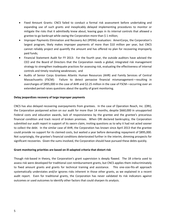- Fixed Amount Grants: CNCS failed to conduct a formal risk assessment before undertaking and expanding use of such grants and inexplicably delayed implementing procedures to monitor or mitigate the risks that it admittedly knew about, leaving gaps in its internal controls that allowed a grantee to go bankrupt while owing the Corporation more than \$ 1 million;
- Improper Payments Elimination and Recovery Act (IPERA) evaluation: AmeriCorps, the Corporation's largest program, likely makes improper payments of more than \$10 million per year, but CNCS cannot reliably project and quantify the amount and has offered no plan for recovering improperly paid funds;
- Financial Statement Audit for FY 2013: For the fourth year, the outside auditors have advised the CEO and the Board of Directors that the Corporation needs a global, integrated risk management strategy to strengthen inadequate practices for assessing risk, evaluating the effectiveness of internal controls and timely resolving weaknesses; and
- Audits of Senior Corps Grantees Atlantic Human Resources (AHR) and Family Services of Central Massachusetts (FSCM): Failure to detect pervasive financial mismanagement—resulting in overcharges of \$895,000 in the case of AHR and \$2.25 million in the case of FSCM—occurring over an extended period raises questions about the quality of grant monitoring.

#### **Delay jeopardizes recovery of large improper payments**

CNCS has also delayed recovering overpayments from grantees. In the case of Operation Reach, Inc. (ORI), the Corporation postponed action on our audit for more than 14 months, despite \$660,000 in unsupported Federal costs and education awards, lack of responsiveness by the grantee and the grantee's precarious financial condition and track record of broken promises. When ORI declared bankruptcy, the Corporation submitted our audit report in support of its sworn claim, inviting questions as to why it had not acted sooner to collect the debt. In the similar case of AHR, the Corporation has known since April 2013 that the grantee could provide no support for its claimed costs, but waited a year before demanding repayment of \$895,000. Not surprisingly, the grantee's financial conditions deteriorated further in the interim, dimming prospects for significant recoveries. Given the sums involved, the Corporation should have pursued these debts quickly.

#### **Grant monitoring priorities are based on ill-adapted criteria that distort risk**

Though risk-based in theory, the Corporation's grant supervision is deeply flawed. The 18 criteria used to assess risk were developed for traditional cost reimbursement grants, but CNCS applies them indiscriminately to fixed amount grants and grants for technical training and assistance. This one-size-fits-all approach systematically understates and/or ignores risks inherent in those other grants, as we explained in a recent audit report. Even for traditional grants, the Corporation has never validated its risk indicators against outcomes or used outcomes to identify other factors that could sharpen its analysis.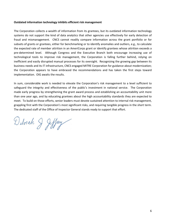#### **Outdated information technology inhibits efficient risk management**

The Corporation collects a wealth of information from its grantees, but its outdated information technology systems do not support the kind of data analytics that other agencies use effectively for early detection of fraud and mismanagement. CNCS cannot readily compare information across the grant portfolio or for subsets of grants or grantees, either for benchmarking or to identify anomalies and outliers, e.g., to calculate the expected rate of member attrition in an AmeriCorps grant or identify grantees whose attrition exceeds a pre-determined level. Although Congress and the Executive Branch both encourage increasing use of technological tools to improve risk management, the Corporation is falling further behind, relying on inefficient and easily disrupted manual processes for its oversight. Recognizing the growing gap between its business needs and its IT infrastructure, CNCS engaged MITRE Corporation for guidance about modernization; the Corporation appears to have embraced the recommendations and has taken the first steps toward implementation. OIG awaits the results.

In sum, considerable work is needed to elevate the Corporation's risk management to a level sufficient to safeguard the integrity and effectiveness of the public's investment in national service. The Corporation made early progress by strengthening the grant award process and establishing an accountability unit more than one year ago, and by educating grantees about the high accountability standards they are expected to meet. To build on those efforts, senior leaders must devote sustained attention to internal risk management, grappling first with the Corporation's most significant risks, and requiring tangible progress in the short term. The dedicated staff of the Office of Inspector General stands ready to support that effort.

Detoich & Jeffry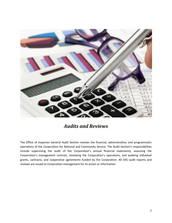

<span id="page-7-0"></span>The Office of Inspector General Audit Section reviews the financial, administrative, and programmatic operations of the Corporation for National and Community Service. The Audit Section's responsibilities include supervising the audit of the Corporation's annual financial statements, assessing the Corporation's management controls, reviewing the Corporation's operations, and auditing individual grants, contracts, and cooperative agreements funded by the Corporation. All OIG audit reports and reviews are issued to Corporation management for its action or information.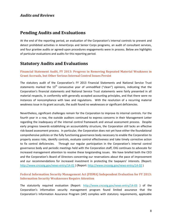### <span id="page-8-0"></span>**Pending Audits and Evaluations**

At the end of the reporting period, an evaluation of the Corporation's internal controls to prevent and detect prohibited activities in AmeriCorps and Senior Corps programs, an audit of consultant services, and four grantee audits or agreed-upon procedures engagements were in process. Below are highlights of particular evaluations and audits for this reporting period.

### <span id="page-8-1"></span>**Statutory Audits and Evaluations**

#### <span id="page-8-2"></span>**Financial Statement Audit, FY 2013: Progress in Removing Repeated Material Weakness in Grant Accruals, but Other Serious Internal Control Issues Persist**

The statutory audit of the Corporation's FY 2013 Financial Statements and National Service Trust statements marked the  $13<sup>th</sup>$  consecutive year of unmodified ("clean") opinions, indicating that the Corporation's financial statements and National Service Trust statements were fairly presented in all material respects, in conformity with generally accepted accounting principles, and that there were no instances of noncompliance with laws and regulations. With the resolution of a recurring material weakness issue in its grant accruals, the audit found no weaknesses or significant deficiencies.

Nevertheless, significant challenges remain for the Corporation to improve its internal controls. For the fourth year in a row, the outside auditors continued to express concerns in their Management Letter regarding the inadequacy of the internal control framework and annual assessment process. Despite early progress towards establishing an accountability structure, the Corporation still lacks an effective risk-based assessment process. In particular, the Corporation does not yet have either the foundational comprehensive policies or the fully functioning governance body necessary to enable the Corporation to properly assess risks, identify controls, evaluate control effectiveness and take timely corrective action to fix control deficiencies. Through our regular participation in the Corporation's internal control governance body and periodic meetings held with the Corporation staff, OIG continues to advocate for increased management attention to resolve these longstanding issues. We have briefed both the CEO and the Corporation's Board of Directors concerning our reservations about the pace of improvement and our recommendations for increased investment in protecting the taxpayers' interests. (Report: <http://www.cncsoig.gov/news-entry/14-01> ) (Report[: http://www.cncsoig.gov/news-entry/14-02](http://www.cncsoig.gov/news-entry/14-02) )

#### <span id="page-8-3"></span>**Federal Information Security Management Act (FISMA) Independent Evaluation for FY 2013: Information Security Weaknesses Require Attention**

The statutorily required evaluation (Report: <http://www.cncsoig.gov/news-entry/14-03> ) of the Corporation's information security management program found limited assurance that the Corporation's Information Assurance Program (IAP) complies with statutory requirements, applicable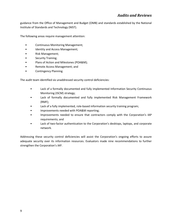guidance from the Office of Management and Budget (OMB) and standards established by the National Institute of Standards and Technology (NIST).

The following areas require management attention:

- Continuous Monitoring Management;
- Identity and Access Management;
- Risk Management;
- Security Training;
- Plans of Action and Milestones (POA&M);
- Remote Access Management; and
- Contingency Planning.

The audit team identified six unaddressed security control deficiencies:

- Lack of a formally documented and fully implemented Information Security Continuous Monitoring (ISCM) strategy;
- Lack of formally documented and fully implemented Risk Management Framework (RMF);
- Lack of a fully implemented, role-based information security training program;
- Improvements needed with POA&M reporting;
- Improvements needed to ensure that contractors comply with the Corporation's IAP requirements; and
- Lack of two-factor authentication to the Corporation's desktops, laptops, and corporate network.

Addressing these security control deficiencies will assist the Corporation's ongoing efforts to assure adequate security over its information resources. Evaluators made nine recommendations to further strengthen the Corporation's IAP.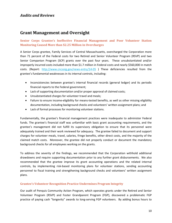### <span id="page-10-0"></span>**Grant Management and Oversight**

<span id="page-10-1"></span>**Senior Corps Grantee's Ineffective Financial Management and Poor Volunteer Station Monitoring Caused More than \$2.25 Million in Overcharges**

A Senior Corps grantee, Family Services of Central Massachusetts, overcharged the Corporation more than 71 percent of the Federal costs for two Retired and Senior Volunteer Program (RSVP) and two Senior Companion Program (SCP) grants over the past four years. These unsubstantiated and/or improperly incurred costs included more than \$1.7 million in Federal costs and nearly \$560,000 in match costs. (Report: <http://www.cncsoig.gov/news-entry/14-05> ) These deficiencies resulted from the grantee's fundamental weaknesses in its internal controls, including:

- Inconsistencies between grantee's internal financial records (general ledger) and its periodic financial reports to the Federal government;
- Lack of supporting documentation and/or proper approval of claimed costs;
- Unsubstantiated charges for volunteer travel and meals;
- Failure to ensure income-eligibility for means-tested benefits, as well as other missing eligibility documentation, including background checks and volunteers' written assignment plans; and
- Lack of formal processes for monitoring volunteer stations.

Fundamentally, the grantee's financial management practices were inadequate to administer Federal funds. The grantee's financial staff was unfamiliar with basic grant accounting requirements, and the grantee's management did not fulfill its supervisory obligation to ensure that its personnel were adequately trained and their work reviewed for adequacy. The grantee failed to document and support charges for volunteer meals, travel, salaries, fringe benefits, other direct costs, and the majority of the claimed match costs. Moreover, the grantee did not properly conduct or document the mandatory background checks for all employees working on the grants.

To address the severity of the findings, we recommended that the Corporation withhold additional drawdowns and require supporting documentation prior to any further grant disbursements. We also recommended that the grantee improve its grant accounting operations and the related internal controls, by implementing risk-based monitoring plans for volunteer stations, sending accounting personnel to fiscal training and strengthening background checks and volunteers' written assignment plans.

#### <span id="page-10-2"></span>**Grantee's Volunteer Recognition Practice Undermines Program Integrity**

Our audit of Penquis Community Action Program, which operates grants under the Retired and Senior Volunteer Program (RSVP) and Foster Grandparent Program (FGP), discovered a problematic FGP practice of paying cash "longevity" awards to long-serving FGP volunteers. By adding bonus hours to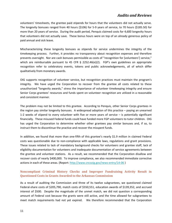volunteers' timesheets, the grantee paid stipends for hours that the volunteers did not actually serve. The longevity bonuses ranged from 40 hours (\$106) for 5-9 years of service, to 70 hours (\$185.50) for more than 20 years of service. During the audit period, Penquis claimed costs for 4,600 longevity hours that volunteers did not actually save. These bonus hours were on top of an already generous policy of paid annual and sick leave.

Mischaracterizing these longevity bonuses as stipends for service undermines the integrity of the timekeeping process. Further, it provides no transparency about recognition expenses and therefore prevents oversight. Nor are cash bonuses permissible as costs of "recognition for [volunteers'] service," which are reimbursable pursuant to 45 CFR § 2252.46(e)(2). FGP's own guidelines on appropriate recognition refer to celebratory events, tokens and public acknowledgements, all of which differ qualitatively from monetary awards.

OIG supports recognition of volunteer service, but recognition practices must maintain the program's integrity. We have urged the Corporation to recover from the grantee all costs related to these unauthorized "longevity awards," stress the importance of volunteer timekeeping integrity and ensure Senior Corps grantees' resources and funds spent on volunteer recognition are utilized in a reasonable and consistent manner.

The problem may not be limited to this grantee. According to Penquis, other Senior Corps grantees in the region pay similar longevity bonuses. A widespread adoption of this practice – paying an unearned 1-2 weeks of stipend to every volunteer with five or more years of service – is potentially significant financially. These misused Federal funds could have funded more FGP volunteers to tutor children. OIG has urged the Corporation to determine whether other grantees pay similar bonuses and, if so, to instruct them to discontinue the practice and recover the misspent funds.

In addition, we found that more than one-fifth of this grantee's nearly \$1.9 million in claimed Federal costs was questionable due to non-compliance with applicable laws, regulations and grant provisions. These issues related to lack of mandatory background checks for volunteers and grantee staff, lack of eligibility documentation for volunteers and inadequate documentation of service agreements between the grantee and volunteer stations. As a result, we recommended that the Corporation disallow and recover costs of nearly \$400,000. To improve compliance, we also recommended immediate corrective actions in each of these areas. (Report[: http://www.cncsoig.gov/news-entry/14-06](http://www.cncsoig.gov/news-entry/14-06) )

#### <span id="page-11-0"></span>**Noncompliant Criminal History Checks and Improper Fundraising Activity Result in Questioned Costs in Grants Awarded to the Arkansas Commission**

As a result of auditing the Commission and three of its twelve subgrantees, we questioned claimed Federal-share costs of \$205,790, match costs of \$550,551, education awards of \$139,352, and accrued interest of \$500. Despite the magnitude of the unmet match, we did not question a corresponding amount of Federal cost because the grants were still active, and the time allowed for subgrantees to meet match requirements had not yet expired. We therefore recommended that the Corporation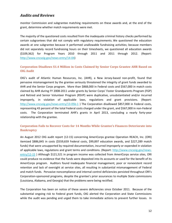monitor Commission and subgrantee matching requirements on these awards and, at the end of the grant, determine whether match requirements were met.

The majority of the questioned costs resulted from the inadequate criminal history checks performed by certain subgrantees that did not comply with regulatory requirements. We questioned the education awards at one subgrantee because it performed unallowable fundraising activities; because members did not separately record fundraising hours on their timesheets, we questioned all education awards (\$109,362) for Program Years 2010 through 2011 and 2011 through 2012. (Report: [http://www.cncsoig.gov/news-entry/14-04\)](http://www.cncsoig.gov/news-entry/14-04)

#### <span id="page-12-0"></span>**Corporation Disallows \$1.4 Million in Costs Claimed by Senior Corps Grantee AHR Based on OIG Audit**

OIG's audit of Atlantic Human Resources, Inc. (AHR), a New Jersey-based non-profit, found that pervasive mismanagement by the grantee seriously threatened the integrity of grant funds awarded to AHR and the Senior Corps program. More than \$868,000 in Federal costs and \$567,000 in match costs claimed by AHR during FY 2008-2011 under grants by Senior Corps' Foster Grandparents Program (FGP) and Retired and Senior Volunteer Program (RSVP) were duplicative, unsubstantiated and/or incurred improperly, in violation of applicable laws, regulations and grant provisions. (Report: <http://www.cncsoig.gov/news-entry/13-05b-1> ) The Corporation disallowed \$857,000 in Federal costs, representing 43 percent of the total Federal costs charged under the grant, and \$567,000 in non-Federal costs. The Corporation terminated AHR's grants in April 2013, concluding a nearly forty-year relationship with the grantee.

#### <span id="page-12-1"></span>**Corporation Fails to Recover Costs for 14 Months While Grantee's Finances Deteriorate into Bankruptcy**

An August 2012 OIG audit report (12-15) concerning AmeriCorps grantee Operation REACH, Inc. (ORI) itemized \$886,845 in costs (\$559,659 Federal costs, \$99,897 education awards, and \$227,289 match funds) that were unsupported by required documentation, incurred improperly or expended in violation of applicable laws, regulations and grant terms and conditions. (Report: [http://www.cncsoig.gov/news](http://www.cncsoig.gov/news-entry/12-15)[entry/12-15](http://www.cncsoig.gov/news-entry/12-15) ) Although \$121,521 in program income was collected from AmeriCorps service sites, ORI could produce no evidence that the funds were deposited into its accounts or used for the benefit of its AmeriCorps program. Auditors found inadequate financial management, poor or nonexistent record retention and lack of oversight at service sites, all resulting in substantial mismanagement of Federal and match funds. Pervasive noncompliance and internal control deficiencies persisted throughout ORI's Corporation-sponsored programs, despite the grantee's prior assurances to multiple State commissions (Louisiana, Alabama, and Georgia) that the problems were being rectified.

The Corporation has been on notice of these severe deficiencies since October 2011. Because of the substantial ongoing risk to Federal grant funds, OIG alerted the Corporation and State Commissions while the audit was pending and urged them to take immediate actions to prevent further losses. In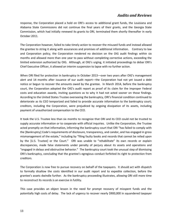response, the Corporation placed a hold on ORI's access to additional grant funds, the Louisiana and Alabama State Commissions did not continue the final years of their grants, and the Georgia State Commission, which had initially renewed its grants to ORI, terminated them shortly thereafter in early October 2011.

The Corporation however, failed to take timely action to recover the misused funds and instead allowed the grantee to string it along with assurances and promises of additional information. Contrary to law and Corporation policy, the Corporation rendered no decision on the OIG audit findings within six months and allowed more than one year to pass without completing corrective actions, exceeding the limited extension authorized by OIG. Although, at OIG's urging, it initiated proceedings to debar ORI's Chief Executive Officer, it allowed an interim suspension to lapse with no further action.

When ORI filed for protection in bankruptcy in October 2013—over two years after OIG's management alert and 14 months after issuance of our audit report—the Corporation had not yet issued a debt notice or begun to recover the amounts owed by the grantee. In March 2014, before the bankruptcy court, the Corporation adopted the OIG's audit report as proof of its claim for the improper Federal costs and education awards, inviting questions as to why it had not acted sooner on those findings. According to the United States Trustee overseeing the bankruptcy, ORI's financial condition continued to deteriorate as its CEO temporized and failed to provide accurate information to the bankruptcy court; creditors, including the Corporation, were prejudiced by ongoing dissipation of its assets, including payment of unauthorized compensation to the CEO.

It took the U.S. Trustee less than six months to recognize that ORI and its CEO could not be trusted to supply accurate information or to cooperate with official inquiries. Unlike the Corporation, the Trustee acted promptly on that information, informing the bankruptcy court that ORI "has failed to comply with the [Bankruptcy] Code's requirements of disclosure, transparency, and candor, and has engaged in gross mismanagement of the estate," including by "filing faulty books and records that cannot be relied upon by the [U.S. Trustee] or the Court." ORI was unable to "rehabilitate" its own records or explain discrepancies, made false statements under penalty of perjury about its assets and operations and "engaged in delays and obstructive behavior." The bankruptcy court took the unusual step of dismissing ORI's bankruptcy, concluding that the grantee's egregious conduct forfeited its right to protection from creditors.

The Corporation is now free to pursue recovery on behalf of the taxpayers. It should act with dispatch to formally disallow the costs identified in our audit report and to expedite collection, before the grantee's assets dwindle further. As the bankruptcy proceeding illustrates, allowing ORI still more time to reconstruct its records is an exercise in futility.

This case provides an object lesson in the need for prompt recovery of misspent funds and the potentially high costs of delay. The lack of urgency to recover nearly \$900,000 in squandered taxpayer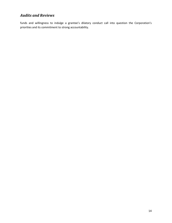funds and willingness to indulge a grantee's dilatory conduct call into question the Corporation's priorities and its commitment to strong accountability.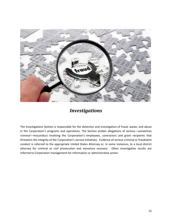

<span id="page-15-0"></span>The Investigations Section is responsible for the detection and investigation of fraud, waste, and abuse in the Corporation's programs and operations. The Section probes allegations of serious—sometimes criminal—misconduct involving the Corporation's employees, contractors and grant recipients that threatens the integrity of the Corporation's service initiatives. Evidence of serious criminal or fraudulent conduct is referred to the appropriate United States Attorney or, in some instances, to a local district attorney for criminal or civil prosecution and monetary recovery. Other investigative results are referred to Corporation management for information or administrative action.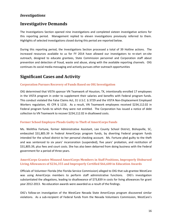### <span id="page-16-0"></span>**Investigative Demands**

The Investigations Section opened nine investigations and completed sixteen investigative actions for this reporting period. Management replied to eleven investigations previously referred to them. Highlights of selected investigations closed during this period are reported below.

During this reporting period, the Investigations Section processed a total of 39 Hotline actions. The increased resources available to us for FY 2014 have allowed our investigators to re-start on-site outreach, designed to educate grantees, State Commission personnel and Corporation staff about prevention and detection of fraud, waste and abuse, along with the available reporting channels. OIG continues its social media messaging and actively pursues other outreach opportunities

### <span id="page-16-1"></span>**Significant Cases and Activity**

#### <span id="page-16-2"></span>**Corporation Pursues Recovery of Funds Based on OIG Investigation**

OIG determined that VISTA sponsor VN Teamwork of Houston, TX, intentionally enrolled 17 employees in the VISTA program in order to supplement their salaries and benefits with Federal program funds. This conduct violated the False Claims Act, 31 U.S.C. § 3729 and the VISTA Non-Displacement Employed Workers regulation, 45 CFR § 1216. As a result, VN Teamwork employees received \$234,112.02 in Federal program funds to which they were not entitled. The Corporation has issued a notice of debt collection to VN Teamwork to recover \$234,112.02 in disallowed costs.

#### <span id="page-16-3"></span>**Former School Employee Pleads Guilty to Theft of AmeriCorps Funds**

Ms. Welithia Fortune, former Administrative Assistant, Lee County School District, Bishopville, SC, embezzled \$31,805.39 in Federal AmeriCorps program funds, by diverting Federal program funds intended for the school district to her personal checking account. Ms. Fortune pled guilty to the theft and was sentenced to six years' incarceration (suspended), five years' probation, and restitution of \$31,805.39, plus fees and court costs. She has also been debarred from doing business with the Federal government for a period of three years.

#### <span id="page-16-4"></span>**AmeriCorps Grantee Misused AmeriCorps Members in Staff Positions, Improperly Disbursed Living Allowances of \$236,355 and Improperly Certified \$66,600 in Education Awards**

Officials of Volunteer Florida (the Florida Service Commission) alleged to OIG that sub-grantee WestCare was using AmeriCorps members to perform staff administrative functions. OIG's investigation substantiated the allegations, leading to disallowance of \$73,839 in costs for living allowances for grant year 2012-2013. No education awards were awarded as a result of the findings.

OIG's follow-on investigation of the WestCare Nevada State AmeriCorps program discovered similar violations. As a sub-recipient of Federal funds from the Nevada Volunteers Commission, WestCare's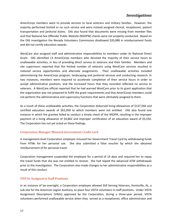AmeriCorps members were to provide services to local veterans and military families. However, the majority performed limited or no such service and were instead assigned clerical, receptionist, patient transportation and janitorial duties. OIG also found that documents were missing from member files and that National Sex Offender Public Website (NSOPW) checks were not properly conducted. Based on the OIG investigation the Nevada Volunteers Commission disallowed \$20,088 in reimbursement funds and did not certify education awards.

WestCare also assigned staff and administrative responsibilities to members under its National Direct Grant. OIG identified 13 AmeriCorps members who devoted the majority of their service hours to unallowable activities, in lieu of providing direct service to veterans and their families. Members and site supervisors reported that the limited number of veterans using WestCare services resulted in reduced service opportunities and alternate assignments. Their unallowable activities included administering the AmeriCorps program, landscaping and janitorial services and conducting research. In two instances, members were required to accelerate completion of their service hours in order to accept administrative positions, and the increased hours that they recorded reflected no service to veterans. A WestCare official reported that he had warned WestCare prior to its grant application that the organization was not prepared to fulfill the grant requirements and that AmeriCorps members could not perform the administrative and supervisory functions that were ultimately assigned to them.

As a result of these unallowable activities, the Corporation disbursed living allowances of \$137,566 and certified education awards of \$61,050 to which members were not entitled. OIG also found one instance in which the grantee failed to conduct a timely check of the NSOPR, resulting in the improper payment of a living allowance of \$4,862 and improper certification of an education award of \$5,550. The Corporation has not yet acted on these findings.

#### <span id="page-17-0"></span>**Corporation Manager Misused Government Credit Card**

A management-level Corporation employee misused her Government Travel Card by withdrawing funds from ATMs for her personal use. She also submitted a false voucher by which she obtained reimbursement of for personal travel.

Corporation management suspended the employee for a period of 14 days and required her to repay the travel funds that she was not entitled to receive. She had repaid the advanced ATM withdrawals prior to the investigation. The Corporation also made changes to her administrative responsibilities as a result of this conduct.

#### <span id="page-17-1"></span>**VISTAs Assigned to Staff Positions**

In an instance of lax oversight, a Corporation employee allowed Still Serving Veterans, Huntsville, AL, a sub-site for the American Legion Auxiliary, to place four VISTA volunteers in staff positions. Under VISTA Assignment Descriptions (VADs) approved by the Corporation, during a three-year period, VISTA volunteers performed unallowable service when they served as a receptionist, office administrator and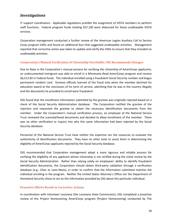IT support coordinators. Applicable regulations prohibit the assignment of VISTA members to perform staff functions. Federal program funds totaling \$57,190 were disbursed for these unallowable VISTA services.

Corporation management conducted a further review of the American Legion Auxiliary Call to Service Corps program VADs and found an additional four that suggested unallowable activities. Management reported that corrective action was taken to update and clarify the VADs to ensure that they included no unallowable activities.

#### <span id="page-18-0"></span>**Corporation's Manual Verification of Citizenship Unreliable; OIG Recommends Changes**

Due to flaws in the Corporation's manual process for verifying the citizenship of AmeriCorps applicants, an undocumented immigrant was able to enroll in a Minnesota Read AmeriCorps program and receive \$6,512.83 in Federal funds. The individual enrolled using a fraudulent Social Security number and bogus permanent resident card. Grantee officials learned of the fraud only when the member declined his education award at the conclusion of his term of service, admitting that he was in the country illegally and the documents he provided to enroll were fraudulent.

OIG found that the enrollment information submitted by the grantee was originally rejected based on a check of the Social Security Administration database. The Corporation notified the grantee of the rejection and requested the grantee to obtain the necessary identification documents from the member. Under the Corporation's manual verification process, an employee of the National Service Trust reviewed the scanned/faxed documents and decided to allow enrollment of the member. There was no other verification or inquiry into why this same information had been rejected by the Social Security database.

Personnel of the National Service Trust have neither the expertise nor the resources to evaluate the authenticity of identification documents. They have no other tools to assist them in determining the eligibility of AmeriCorps applicants rejected by the Social Security database.

OIG recommended that Corporation management adopt a more rigorous and reliable process for verifying the eligibility of any applicant whose citizenship is not verified during the initial review by the Social Security Administration. Rather than relying solely on employees' ability to identify fraudulent identification documents, the Corporation should obtain third-party validation through a verification database (e.g., Clear or Lexis-Nexis), in order to confirm that the information submitted matches the individual enrolling in the program. Neither the United States Attorney's Office nor the Department of Homeland Security chose to act on the information provided by OIG about this particular individual.

#### <span id="page-18-1"></span>**Proactive Efforts Result in Corrective Actions**

In coordination with Volunteer Louisiana (the Louisiana State Commission), OIG completed a proactive review of the Project Homecoming AmeriCorps program (Project Homecoming) conducted by The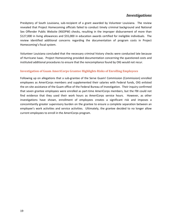Presbytery of South Louisiana, sub-recipient of a grant awarded by Volunteer Louisiana. The review revealed that Project Homecoming officials failed to conduct timely criminal background and National Sex Offender Public Website (NSOPW) checks, resulting in the improper disbursement of more than \$127,000 in living allowances and \$55,000 in education awards certified for ineligible individuals. The review identified additional concerns regarding the documentation of program costs in Project Homecoming's fiscal system.

Volunteer Louisiana concluded that the necessary criminal history checks were conducted late because of Hurricane Isaac. Project Homecoming provided documentation concerning the questioned costs and instituted additional procedures to ensure that the noncompliance found by OIG would not recur.

#### <span id="page-19-0"></span>**Investigation of Guam AmeriCorps Grantee Highlights Risks of Enrolling Employees**

Following up on allegations that a sub-grantee of the Serve Guam! Commission (Commission) enrolled employees as AmeriCorps members and supplemented their salaries with Federal funds, OIG enlisted the on-site assistance of the Guam office of the Federal Bureau of Investigation. Their inquiry confirmed that seven grantee employees were enrolled as part-time AmeriCorps members, but the FBI could not find evidence that they used their work hours as AmeriCorps service hours. However, as other investigations have shown, enrollment of employees creates a significant risk and imposes a concomitantly greater supervisory burden on the grantee to ensure a complete separation between an employee's work activities and service activities. Ultimately, the grantee decided to no longer allow current employees to enroll in the AmeriCorps program.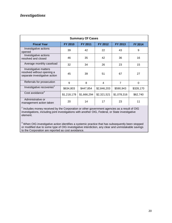| <b>Summary Of Cases</b>                                                                        |             |             |             |             |           |  |
|------------------------------------------------------------------------------------------------|-------------|-------------|-------------|-------------|-----------|--|
| FY 2012<br>FY 2013<br><b>Fiscal Year</b><br><b>FY 2010</b><br><b>FY 2011</b><br><b>FY 2014</b> |             |             |             |             |           |  |
| Investigative actions<br>opened                                                                | 39          | 42          | 22          | 43          | 9         |  |
| Investigative actions<br>resolved and closed                                                   | 46          | 35          | 42          | 36          | 16        |  |
| Average monthly caseload                                                                       | 32          | 34          | 26          | 23          | 15        |  |
| Investigative matters<br>resolved without opening a<br>separate investigative action           | 45          | 39          | 51          | 67          | 27        |  |
| Referrals for prosecution                                                                      | 9           | 8           | 4           | 7           | 0         |  |
| Investigative recoveries <sup>2</sup>                                                          | \$634,803   | \$447,854   | \$2,846,203 | \$590,943   | \$328,170 |  |
| Cost avoidance <sup>3</sup>                                                                    | \$1,218,178 | \$1,666,294 | \$2,321,521 | \$1,078,316 | \$62,740  |  |
| Administrative or<br>management action taken                                                   | 20          | 14          | 17          | 23          | 11        |  |

 $2$  Includes money received by the Corporation or other government agencies as a result of OIG investigations, including joint investigations with another OIG, Federal, or State investigative element.

<sup>3</sup> When OIG investigative action identifies a systemic practice that has subsequently been stopped or modified due to some type of OIG investigative interdiction, any clear and unmistakable savings to the Corporation are reported as cost avoidance.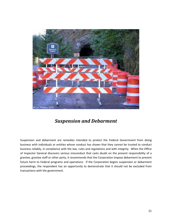

# *Suspension and Debarment*

<span id="page-21-0"></span>Suspension and debarment are remedies intended to protect the Federal Government from doing business with individuals or entities whose conduct has shown that they cannot be trusted to conduct business reliably, in compliance with the law, rules and regulations and with integrity. When the Office of Inspector General discovers serious misconduct that casts doubt on the present responsibility of a grantee, grantee staff or other party, it recommends that the Corporation impose debarment to prevent future harm to Federal programs and operations. If the Corporation begins suspension or debarment proceedings, the respondent has an opportunity to demonstrate that it should not be excluded from transactions with the government.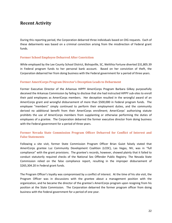### <span id="page-22-0"></span>**Recent Activity**

During this reporting period, the Corporation debarred three individuals based on OIG requests. Each of these debarments was based on a criminal conviction arising from the misdirection of Federal grant funds.

#### <span id="page-22-1"></span>**Former School Employee Debarred After Conviction**

While employed by the Lee County School District, Bishopville, SC, Welithia Fortune diverted \$31,805.39 in Federal program funds to her personal bank account. Based on her conviction of theft, the Corporation debarred her from doing business with the Federal government for a period of three years.

#### <span id="page-22-2"></span>**Former AmeriCorps Program Director's Deception Leads to Debarment**

Former Executive Director of the Arkansas HIPPY AmeriCorps Program Barbara Gilkey purposefully deceived the Arkansas Commission by failing to disclose that she had instructed HIPPY sub-sites to enroll their paid employees as AmeriCorps members. Her deception resulted in the wrongful award of an AmeriCorps grant and wrongful disbursement of more than \$500,000 in Federal program funds. The employee "members" simply continued to perform their employment duties, and the community derived no additional benefit from their AmeriCorps enrollment; AmeriCorps' authorizing statute prohibits the use of AmeriCorps members from supplanting or otherwise performing the duties of employees of a grantee. The Corporation debarred the former executive director from doing business with the Federal government for a period of three years.

#### <span id="page-22-3"></span>**Former Nevada State Commission Program Officer Debarred for Conflict of Interest and False Statements**

Following a site visit, former State Commission Program Officer Brian Guiot falsely stated that AmeriCorps grantee Luz Community Development Coalition (LCDC), Las Vegas, NV, was in "full compliance" with the grant provisions. The grantee's records, however, showed plainly that it failed to conduct statutorily required checks of the National Sex Offender Public Registry. The Nevada State Commission relied on the false compliance report, resulting in the improper disbursement of \$265,304.20 in Federal grant funds.

The Program Officer's loyalty was compromised by a conflict of interest. At the time of his site visit, the Program Officer was in discussions with the grantee about a management position with the organization, and he became the director of the grantee's AmeriCorps program upon resigning from his position at the State Commission. The Corporation debarred the former program officer from doing business with the Federal government for a period of one year.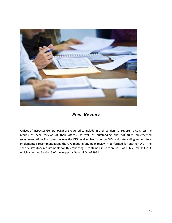

# *Peer Review*

<span id="page-23-0"></span>Offices of Inspector General (OIG) are required to include in their semiannual reports to Congress the results of peer reviews of their offices, as well as outstanding and not fully implemented recommendations from peer reviews the OIG received from another OIG, and outstanding and not fully implemented recommendations the OIG made in any peer review it performed for another OIG. The specific statutory requirements for this reporting is contained in Section 989C of Public Law 111-203, which amended Section 5 of the Inspector General Act of 1978.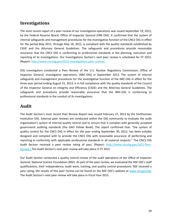<span id="page-24-0"></span>The most recent report of a peer review of our investigative operations was issued September 19, 2012, by the Federal Reserve Board, Office of Inspector General (FRB OIG). It confirmed that the system of internal safeguards and management procedures for the investigative function of the CNCS OIG in effect for the period May 2011, through May 18, 2012, is compliant with the quality standards established by CIGIE and the Attorney General Guidelines. The safeguards and procedures provide reasonable assurance that the CNCS OIG is conforming to professional standards in the planning, execution and reporting of its investigations. Our Investigations Section's next peer review is scheduled for FY 2015. (Report: [http://www.cncsoig.gov/2012-investigations-peer-review\)](http://www.cncsoig.gov/2012-investigations-peer-review)

OIG investigators conducted a Peer Review of the U.S. Nuclear Regulatory Commission, Office of Inspector General, investigative operations, (NRC-OIG) in September 2013. The system of internal safeguards and management procedures for the investigative function of the NRC-OIG in effect for the three year period ending August 31, 2013, is in full compliance with the quality standards of the Council of the Inspector General on Integrity and Efficiency (CIGIE) and the Attorney General Guidelines. The safeguards and procedures provide reasonable assurance that the NRC-OIG is conforming to professional standards in the conduct of its investigations.

## <span id="page-24-1"></span>**Audit**

The Audit Section's most recent Peer Review Report was issued February 27, 2013 by the Smithsonian Institution OIG. External peer reviews are conducted within the OIG community to evaluate the audit organization's system of internal quality control and to ensure that it complies with generally accepted government auditing standards (the GAO Yellow Book). The report confirmed that: "the system of quality control for the CNCS OIG in effect for the year ending September 30, 2012, has been suitably designed and complied with to provide the CNCS OIG with reasonable assurance of performing and reporting in conformity with applicable professional standards in all material respects." The CNCS OIG Audit Section received a peer review rating of pass. (Report: [http://www.cncsoig.gov/2012-Peer-](http://www.cncsoig.gov/2012-Peer-Review)[Review.](http://www.cncsoig.gov/2012-Peer-Review)) The Audit Section's next peer review will take place in FY 2015.

Our Audit Section conducted a quality control review of the audit operations of the Office of Inspector General, National Science Foundation (NSF). As part of the peer review, we evaluated the NSF OIG's staff qualifications, their independence, audit work, training, and quality control procedures. NSF received a pass rating, the results of this peer review can be found on the NSF OIG's website at [www.nsf.gov/oig.](http://www.nsf.gov/oig) The Audit Section's next peer review will take place in Fiscal Year 2015.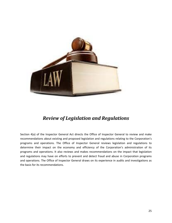

# *Review of Legislation and Regulations*

<span id="page-25-0"></span>Section 4(a) of the Inspector General Act directs the Office of Inspector General to review and make recommendations about existing and proposed legislation and regulations relating to the Corporation's programs and operations. The Office of Inspector General reviews legislation and regulations to determine their impact on the economy and efficiency of the Corporation's administration of its programs and operations. It also reviews and makes recommendations on the impact that legislation and regulations may have on efforts to prevent and detect fraud and abuse in Corporation programs and operations. The Office of Inspector General draws on its experience in audits and investigations as the basis for its recommendations.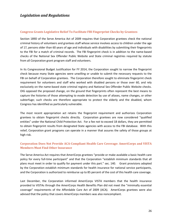#### <span id="page-26-0"></span>**Congress Grants Legislative Relief To Facilitate FBI Fingerprint Checks by Grantees**

Section 189D of the Serve America Act of 2009 requires that Corporation grantees check the national criminal history of volunteers and grantees staff whose service involves access to children under the age of 17, persons older than 60 years of age and individuals with disabilities by submitting their fingerprints to the FBI for a match of criminal records. The FBI fingerprint check is in addition to the name-based checks of the National Sex Offender Public Website and State criminal registries required by statute from all Corporation grant program staff and volunteers.

In its Congressional Budget Justification for FY 2014, the Corporation sought to narrow the fingerprint check because many State agencies were unwilling or unable to submit the necessary requests to the FBI on behalf of Corporation grantees. The Corporation therefore sought to eliminate fingerprint check requirement for volunteers and staff who worked with disabled persons or those over 60, and rely exclusively on the name-based state criminal registry and National Sex Offender Public Website checks. OIG opposed the proposed change, on the ground that fingerprints often represent the best means to capture the histories of those attempting to evade detection by use of aliases, name changes, or other subterfuge; such checks are therefore appropriate to protect the elderly and the disabled, whom Congress has identified as particularly vulnerable.

The most recent appropriation act retains the fingerprint requirement and authorizes Corporation grantees to obtain fingerprint checks directly. Corporation grantees are now considered "qualified entities" under the National Child Protection Act. For a fee not to exceed 18 dollars, they are permitted to obtain fingerprint results from designated State agencies with access to the FBI database. With this relief, Corporation grant programs can operate in a manner that assures the safety of those groups at high risk.

#### <span id="page-26-1"></span>**Corporation Does Not Provide ACA-Compliant Health Care Coverage: AmeriCorps and VISTA Members Must Find Other Insurance**

The Serve America Act requires that AmeriCorps grantees "provide or make available a basic health care policy for every full-time participant" and that the Corporation "establish minimum standards that all plans must meet in order to qualify for payment under this part." sec. 140. Grant provisions adopted by the Corporation establish minimum standards for health insurance for national service participants, and the Corporation is authorized to reimburse up to 85 percent of the cost of this health care coverage.

Last December, the Corporation informed AmeriCorps VISTA members that the health insurance provided to VISTAs through the AmeriCorps Health Benefits Plan did not meet the "minimally essential coverage" requirements of the Affordable Care Act of 2009 (ACA). AmeriCorps grantees were also advised that the policy that covers AmeriCorps members was also noncompliant.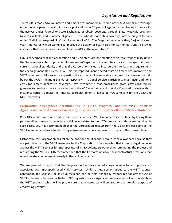### *Legislation and Regulations*

The result is that VISTA volunteers and AmeriCorps members must find other ACA-compliant coverage, either under a parent's health insurance policy (if under 26 years of age) or by purchasing insurance for themselves under Federal or State Exchanges or obtain coverage through State Medicaid programs (where available, and if income-eligible). Those who do not obtain coverage may be subject to fines under "individual responsibility" requirements of ACA. The Corporation reports that, "[o]ver the next year AmeriCorps will be working to improve the quality of health care for its members and to provide insurance that meets the requirements of the ACA in the near future."

OIG is concerned that the Corporation and its grantees are not meeting their legal responsibility under the Serve America Act to provide full-time AmeriCorps members with health care coverage that meets current national standards, and that the Corporation failed to incorporate into its grant requirements the coverage mandated by the ACA. This has imposed unanticipated costs on AmeriCorps members and VISTA volunteers. Moreover, we question the economy of reimbursing grantees for coverage that falls below the ACA's minimum standards, especially if national service participants must incur additional costs for largely duplicative coverage. We recommend that AmeriCorps grant provisions require grantees to provide a policy consistent with the ACA minimums and that the Corporation work with its insurance carrier to revise the AmeriCorps Health Benefits Plan to be ACA compliant for the VISTA and NCCC members.

#### <span id="page-27-0"></span>**Corporation Strengthens Accountability in VISTA Program, Modifies VISTA Sponsor Agreements To Hold Sponsor Financially Responsible for Improper Use of VISTA Volunteers**

Prior OIG audits have found that certain sponsors misused VISTA members' service time, by having them perform direct service or undertake activities unrelated to the VISTA program's anti-poverty mission. In such cases, OIG has recommended that the Corporation recoup from the VISTA project sponsor the VISTA member's federally funded living allowance and education award pro rata to the misused time.

Historically, the Corporation has taken the position that it cannot recoup living allowances because they are paid directly to the VISTA members by the Corporation. It has asserted that it has no legal recourse against the VISTA sponsor for improper use of VISTA volunteers other than terminating the project and reassigning the VISTAs. OIG recommended that the Corporation adopt new contractual provisions that would create a recoupment remedy in these circumstances.

We are pleased to report that the Corporation has now created a legal avenue to recoup the costs associated with improperly used VISTA services. Under a new section added to the VISTA sponsor agreement, the sponsor, or any sub-recipient, can be held financially responsible for any misuse of VISTA volunteers' time and activities. OIG regards this as a significant improvement of accountability in the VISTA program which will help to ensure that its resources will be used for the intended purpose of eradicating poverty.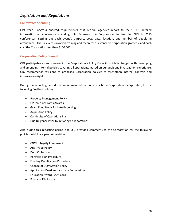### *Legislation and Regulations*

#### <span id="page-28-0"></span>**Conference Spending**

Last year, Congress enacted requirements that Federal agencies report to their OIGs detailed information on conference spending. In February, the Corporation itemized for OIG its 2013 conferences, setting out each event's purpose, cost, date, location, and number of people in attendance. The six events involved training and technical assistance to Corporation grantees, and each cost the Corporation less than \$100,000.

#### <span id="page-28-1"></span>**Corporation Policy Council**

OIG participates as an observer in the Corporation's Policy Council, which is charged with developing and amending internal policies covering all operations. Based on our audit and investigation experience, OIG recommends revisions to proposed Corporation policies to strengthen internal controls and improve oversight.

During this reporting period, OIG recommended revisions, which the Corporation incorporated, for the following finalized policies:

- Property Management Policy
- Closeout of Grants Awards
- Grant Fund Holds for Late Reporting
- Acquisition Policy
- Continuity of Operations Plan
- Due Diligence Prior to Initiating Collaborations

Also during this reporting period, the OIG provided comments to the Corporation for the following policies, which are pending revision:

- CNCS Integrity Framework
- Anti-Fraud Policy
- Debt Collection
- Portfolio Plan Procedure
- Funding Certification Procedure
- Change of Duty Station Policy
- Application Deadlines and Late Submissions
- Education Award Extensions
- Financial Disclosure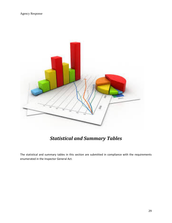

# *Statistical and Summary Tables*

<span id="page-29-0"></span>The statistical and summary tables in this section are submitted in compliance with the requirements enumerated in the Inspector General Act.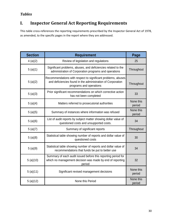### *Tables*

# <span id="page-30-0"></span>**I. Inspector General Act Reporting Requirements**

This table cross-references the reporting requirements prescribed by the Inspector General Act of 1978, as amended, to the specific pages in the report where they are addressed.

| <b>Section</b> | <b>Requirement</b>                                                                                                                                     | Page                |
|----------------|--------------------------------------------------------------------------------------------------------------------------------------------------------|---------------------|
| 4(a)(2)        | Review of legislation and regulations                                                                                                                  | 25                  |
| 5(a)(1)        | Significant problems, abuses, and deficiencies related to the<br>administration of Corporation programs and operations                                 | Throughout          |
| 5(a)(2)        | Recommendations with respect to significant problems, abuses<br>and deficiencies found in the administration of Corporation<br>programs and operations | Throughout          |
| 5(a)(3)        | Prior significant recommendations on which corrective action<br>has not been completed                                                                 | 33                  |
| 5(a)(4)        | Matters referred to prosecutorial authorities                                                                                                          | None this<br>period |
| 5(a)(5)        | Summary of instances where information was refused                                                                                                     | None this<br>period |
| 5(a)(6)        | List of audit reports by subject matter showing dollar value of<br>questioned costs and unsupported costs.                                             | 34                  |
| 5(a)(7)        | Summary of significant reports                                                                                                                         | Throughout          |
| 5(a)(8)        | Statistical table showing number of reports and dollar value of<br>questioned costs                                                                    | 30                  |
| 5(a)(9)        | Statistical table showing number of reports and dollar value of<br>recommendations that funds be put to better use                                     | 34                  |
| 5(a)(10)       | Summary of each audit issued before this reporting period for<br>which no management decision was made by end of reporting<br>period                   | 32                  |
| 5(a)(11)       | Significant revised management decisions                                                                                                               | None this<br>period |
| 5(a)(12)       | None this Period                                                                                                                                       | None this<br>period |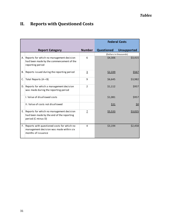<span id="page-31-0"></span>

| II. |  |  | <b>Reports with Questioned Costs</b> |  |
|-----|--|--|--------------------------------------|--|
|-----|--|--|--------------------------------------|--|

|    |                                                                                                             | <b>Federal Costs</b> |                   |                        |
|----|-------------------------------------------------------------------------------------------------------------|----------------------|-------------------|------------------------|
|    | <b>Report Category</b>                                                                                      | <b>Number</b>        | <b>Questioned</b> | <b>Unsupported</b>     |
|    |                                                                                                             |                      |                   | (Dollars in thousands) |
| А. | Reports for which no management decision<br>had been made by the commencement of the<br>reporting period    | 6                    | \$4,306           | \$3,415                |
| В. | Reports issued during the reporting period                                                                  | $\overline{3}$       | \$2,339           | \$567                  |
| C. | Total Reports $(A + B)$                                                                                     | 9                    | \$6,645           | \$3,982                |
| D. | Reports for which a management decision<br>was made during the reporting period                             | $\overline{2}$       | \$1,112           | \$957                  |
|    | I. Value of disallowed costs                                                                                |                      | \$1,081           | \$957                  |
|    | II. Value of costs not disallowed                                                                           |                      | \$31              | <u>\$0</u>             |
| Е. | Reports for which no management decision<br>had been made by the end of the reporting<br>period (C minus D) | z                    | \$5,533           | S3.025                 |
| F. | Reports with questioned costs for which no<br>management decision was made within six<br>months of issuance | 4                    | \$3,194           | \$2,458                |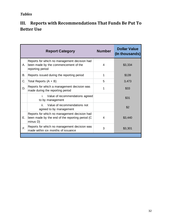# *Tables*

# <span id="page-32-0"></span>**III. Reports with Recommendations That Funds Be Put To Better Use**

|    | <b>Report Category</b>                                                                                      | <b>Number</b> | <b>Dollar Value</b><br>(In thousands) |
|----|-------------------------------------------------------------------------------------------------------------|---------------|---------------------------------------|
| Α. | Reports for which no management decision had<br>been made by the commencement of the<br>reporting period    | 4             | \$3,334                               |
| В. | Reports issued during the reporting period                                                                  | 1             | \$139                                 |
| C. | Total Reports $(A + B)$                                                                                     | 5             | 3,473                                 |
| D. | Reports for which a management decision was<br>made during the reporting period                             |               | \$33                                  |
|    | Value of recommendations agreed<br>i.<br>to by management                                                   |               | \$31                                  |
|    | ii.<br>Value of recommendations not<br>agreed to by management                                              |               | \$2                                   |
| Е. | Reports for which no management decision had<br>been made by the end of the reporting period (C<br>minus D) | 4             | \$3,440                               |
| F. | Reports for which no management decision was<br>made within six months of issuance                          | 3             | \$3,301                               |
|    |                                                                                                             |               |                                       |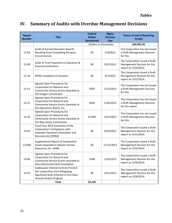# **IV. Summary of Audits with Overdue Management Decisions**

| <b>Report</b><br><b>Number</b> | <b>Title</b>                                                                                                                                       | <b>Federal</b><br><b>Dollars</b><br><b>Questioned</b> | Mgmt.<br><b>Decision</b><br><b>Due</b> | <b>Status at End of Reporting</b><br><b>Period</b>                                     |
|--------------------------------|----------------------------------------------------------------------------------------------------------------------------------------------------|-------------------------------------------------------|----------------------------------------|----------------------------------------------------------------------------------------|
|                                |                                                                                                                                                    | (Dollars in thousands)                                |                                        | (09/30/13)                                                                             |
| 12-04                          | <b>Audit of Earned Education Awards</b><br>Resulting from Compelling Personal<br>Circumstances                                                     | \$0                                                   | 5/9/2012                               | The Corporation has not issued<br>a Draft Management Decision<br>for this.             |
| 12-08                          | Audit of Trust Payments to Education &<br><b>Financial Institutions</b>                                                                            | \$0                                                   | 10/3/2012                              | The Corporation issued a Draft<br>Management Decision for this<br>report on 3/24/2014. |
| $12 - 10$                      | <b>IPERA Compliance Evaluation</b>                                                                                                                 | \$0                                                   | 9/7/2012                               | The Corporation issued a Draft<br>Management Decision for this<br>report on 3/31/2014. |
| $12 - 13$                      | Agreed-Upon Procedures for<br>Corporation for National and<br>Community Service Grants Awarded to<br>the Oregon Commission                         | \$392                                                 | 2/15/2013                              | The Corporation has not issued<br>a Draft Management Decision<br>for this.             |
| $12 - 15$                      | Agreed-Upon Procedures for<br>Corporation for National and<br>Community Service Grants Awarded to<br>the Operations Reach, Inc.                    | \$560                                                 | 2/28/2013                              | The Corporation has not issued<br>a Draft Management Decision<br>for this report.      |
| $12 - 16$                      | Agreed-Upon Procedures for<br>Corporation for National and<br>Community Service Grants Awarded to<br>the New Jersey Commission                     | \$1,895                                               | 3/27/2013                              | The Corporation has not issued<br>a Draft Management Decision<br>for this.             |
| 13-04                          | Fiscal Year 2012 Evaluation of the<br>Corporation's Compliance with<br>Improper Payments Elimination and<br>Recovery Act (IPERA)                   | \$0                                                   | 9/16/2013                              | The Corporation issued a Draft<br>Management Decision for this<br>report on 3/31/2014. |
| 13-05B                         | Supplemental Report of Corporation<br><b>Grants Awarded to Atlantic Human</b><br>Resources, Inc. (AHR)                                             | \$0                                                   | 11/12/2013                             | The Corporation issued a Draft<br>Management Decision for this<br>report on 2/25/2014. |
| 13-06                          | Agreed-Upon Procedures for<br><b>Corporation for National and</b><br>Community Service Grants Awarded to<br><b>Edna McConnell Clark Foundation</b> | \$348                                                 | 12/6/2013                              | The Corporation issued a Draft<br>Management Decision for this<br>report on 3/18/2014. |
| 13-07                          | Inadequate Internal Controls Prevent<br>the Corporation from Mitigating<br>Significant Risks Inherent in the Fixed<br><b>Amount Grants Program</b> | \$0                                                   | 3/31/2013                              | The Corporation issued a Draft<br>Management Decision for this<br>report on 3/28/2014. |
|                                | <b>Total</b>                                                                                                                                       | \$3,195                                               |                                        |                                                                                        |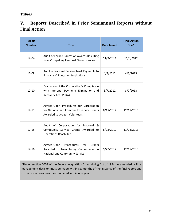### *Tables*

# **V. Reports Described in Prior Semiannual Reports without Final Action**

| <b>Report</b><br><b>Number</b>                                                                                                                                                                                                                      | <b>Title</b>                                                                                                        | <b>Date Issued</b> | <b>Final Action</b><br>Due* |  |  |
|-----------------------------------------------------------------------------------------------------------------------------------------------------------------------------------------------------------------------------------------------------|---------------------------------------------------------------------------------------------------------------------|--------------------|-----------------------------|--|--|
| 12-04                                                                                                                                                                                                                                               | Audit of Earned Education Awards Resulting<br>from Compelling Personal Circumstances                                | 11/9/2011          | 11/9/2012                   |  |  |
| 12-08                                                                                                                                                                                                                                               | Audit of National Service Trust Payments to<br><b>Financial &amp; Education Institutions</b>                        | 4/3/2012           | 4/3/2013                    |  |  |
| $12 - 10$                                                                                                                                                                                                                                           | Evaluation of the Corporation's Compliance<br>with Improper Payments Elimination and<br>Recovery Act (IPERA)        | 3/7/2012           | 3/7/2013                    |  |  |
| $12 - 13$                                                                                                                                                                                                                                           | Agreed-Upon Procedures for Corporation<br>for National and Community Service Grants<br>Awarded to Oregon Volunteers | 8/15/2012          | 12/15/2013                  |  |  |
| $12 - 15$                                                                                                                                                                                                                                           | Audit of Corporation<br>for<br>National<br>&<br>Community Service Grants Awarded to<br>Operations Reach, Inc.       | 8/28/2012          | 11/28/2013                  |  |  |
| $12 - 16$                                                                                                                                                                                                                                           | Agreed-Upon<br>Procedures<br>for<br>Grants<br>Awarded to New Jersey Commission on<br>National and Community Service | 9/27/2012          | 12/15/2013                  |  |  |
| *Under section 6009 of the Federal Acquisition Streamlining Act of 1994, as amended, a final<br>management decision must be made within six months of the issuance of the final report and<br>corrective actions must be completed within one year. |                                                                                                                     |                    |                             |  |  |